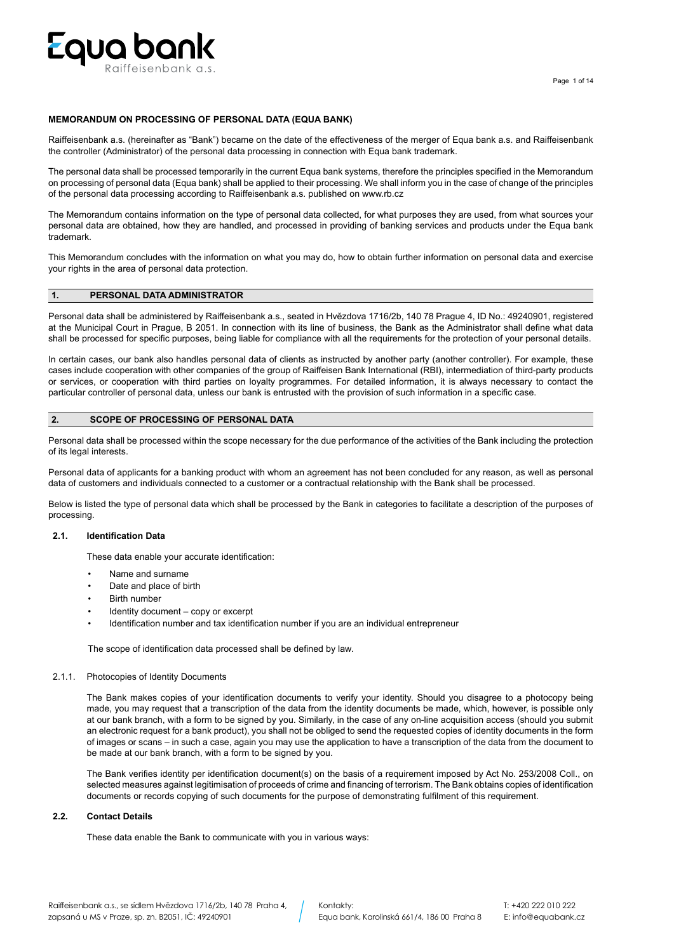

# **MEMORANDUM ON PROCESSING OF PERSONAL DATA (EQUA BANK)**

Raiffeisenbank a.s. (hereinafter as "Bank") became on the date of the effectiveness of the merger of Equa bank a.s. and Raiffeisenbank the controller (Administrator) of the personal data processing in connection with Equa bank trademark.

The personal data shall be processed temporarily in the current Equa bank systems, therefore the principles specified in the Memorandum on processing of personal data (Equa bank) shall be applied to their processing. We shall inform you in the case of change of the principles of the personal data processing according to Raiffeisenbank a.s. published on www.rb.cz

The Memorandum contains information on the type of personal data collected, for what purposes they are used, from what sources your personal data are obtained, how they are handled, and processed in providing of banking services and products under the Equa bank trademark.

This Memorandum concludes with the information on what you may do, how to obtain further information on personal data and exercise your rights in the area of personal data protection.

# **1. PERSONAL DATA ADMINISTRATOR**

Personal data shall be administered by Raiffeisenbank a.s., seated in Hvězdova 1716/2b, 140 78 Prague 4, ID No.: 49240901, registered at the Municipal Court in Prague, B 2051. In connection with its line of business, the Bank as the Administrator shall define what data shall be processed for specific purposes, being liable for compliance with all the requirements for the protection of your personal details.

In certain cases, our bank also handles personal data of clients as instructed by another party (another controller). For example, these cases include cooperation with other companies of the group of Raiffeisen Bank International (RBI), intermediation of third-party products or services, or cooperation with third parties on loyalty programmes. For detailed information, it is always necessary to contact the particular controller of personal data, unless our bank is entrusted with the provision of such information in a specific case.

# **2. SCOPE OF PROCESSING OF PERSONAL DATA**

Personal data shall be processed within the scope necessary for the due performance of the activities of the Bank including the protection of its legal interests.

Personal data of applicants for a banking product with whom an agreement has not been concluded for any reason, as well as personal data of customers and individuals connected to a customer or a contractual relationship with the Bank shall be processed.

Below is listed the type of personal data which shall be processed by the Bank in categories to facilitate a description of the purposes of processing.

#### **2.1. Identification Data**

These data enable your accurate identification:

- Name and surname
- Date and place of birth
- **Birth number**
- Identity document copy or excerpt
- Identification number and tax identification number if you are an individual entrepreneur

The scope of identification data processed shall be defined by law.

# 2.1.1. Photocopies of Identity Documents

The Bank makes copies of your identification documents to verify your identity. Should you disagree to a photocopy being made, you may request that a transcription of the data from the identity documents be made, which, however, is possible only at our bank branch, with a form to be signed by you. Similarly, in the case of any on-line acquisition access (should you submit an electronic request for a bank product), you shall not be obliged to send the requested copies of identity documents in the form of images or scans – in such a case, again you may use the application to have a transcription of the data from the document to be made at our bank branch, with a form to be signed by you.

The Bank verifies identity per identification document(s) on the basis of a requirement imposed by Act No. 253/2008 Coll., on selected measures against legitimisation of proceeds of crime and financing of terrorism. The Bank obtains copies of identification documents or records copying of such documents for the purpose of demonstrating fulfilment of this requirement.

## **2.2. Contact Details**

These data enable the Bank to communicate with you in various ways: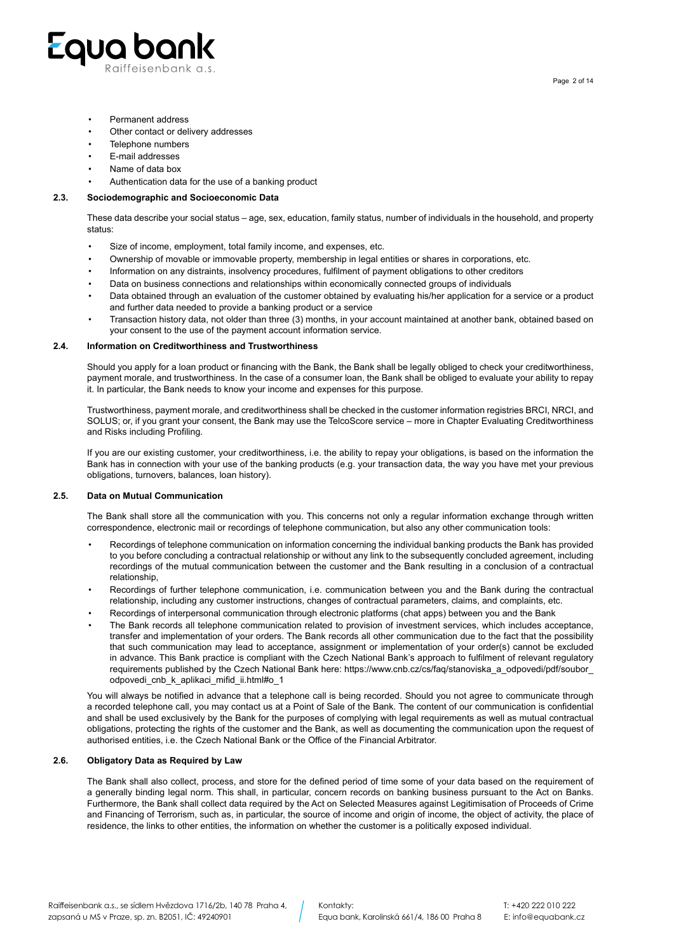

- Permanent address
- Other contact or delivery addresses
- Telephone numbers
- E-mail addresses
- Name of data box
- Authentication data for the use of a banking product

# **2.3. Sociodemographic and Socioeconomic Data**

These data describe your social status – age, sex, education, family status, number of individuals in the household, and property status:

- Size of income, employment, total family income, and expenses, etc.
- Ownership of movable or immovable property, membership in legal entities or shares in corporations, etc.
- Information on any distraints, insolvency procedures, fulfilment of payment obligations to other creditors
- Data on business connections and relationships within economically connected groups of individuals
- Data obtained through an evaluation of the customer obtained by evaluating his/her application for a service or a product and further data needed to provide a banking product or a service
- Transaction history data, not older than three (3) months, in your account maintained at another bank, obtained based on your consent to the use of the payment account information service.

### **2.4. Information on Creditworthiness and Trustworthiness**

Should you apply for a loan product or financing with the Bank, the Bank shall be legally obliged to check your creditworthiness, payment morale, and trustworthiness. In the case of a consumer loan, the Bank shall be obliged to evaluate your ability to repay it. In particular, the Bank needs to know your income and expenses for this purpose.

Trustworthiness, payment morale, and creditworthiness shall be checked in the customer information registries BRCI, NRCI, and SOLUS; or, if you grant your consent, the Bank may use the TelcoScore service – more in Chapter Evaluating Creditworthiness and Risks including Profiling.

If you are our existing customer, your creditworthiness, i.e. the ability to repay your obligations, is based on the information the Bank has in connection with your use of the banking products (e.g. your transaction data, the way you have met your previous obligations, turnovers, balances, loan history).

# **2.5. Data on Mutual Communication**

The Bank shall store all the communication with you. This concerns not only a regular information exchange through written correspondence, electronic mail or recordings of telephone communication, but also any other communication tools:

- Recordings of telephone communication on information concerning the individual banking products the Bank has provided to you before concluding a contractual relationship or without any link to the subsequently concluded agreement, including recordings of the mutual communication between the customer and the Bank resulting in a conclusion of a contractual relationship,
- Recordings of further telephone communication, i.e. communication between you and the Bank during the contractual relationship, including any customer instructions, changes of contractual parameters, claims, and complaints, etc.
- Recordings of interpersonal communication through electronic platforms (chat apps) between you and the Bank
- The Bank records all telephone communication related to provision of investment services, which includes acceptance, transfer and implementation of your orders. The Bank records all other communication due to the fact that the possibility that such communication may lead to acceptance, assignment or implementation of your order(s) cannot be excluded in advance. This Bank practice is compliant with the Czech National Bank's approach to fulfilment of relevant regulatory requirements published by the Czech National Bank here: https://www.cnb.cz/cs/faq/stanoviska\_a\_odpovedi/pdf/soubor\_ odpovedi\_cnb\_k\_aplikaci\_mifid\_ii.html#o\_1

You will always be notified in advance that a telephone call is being recorded. Should you not agree to communicate through a recorded telephone call, you may contact us at a Point of Sale of the Bank. The content of our communication is confidential and shall be used exclusively by the Bank for the purposes of complying with legal requirements as well as mutual contractual obligations, protecting the rights of the customer and the Bank, as well as documenting the communication upon the request of authorised entities, i.e. the Czech National Bank or the Office of the Financial Arbitrator.

#### **2.6. Obligatory Data as Required by Law**

The Bank shall also collect, process, and store for the defined period of time some of your data based on the requirement of a generally binding legal norm. This shall, in particular, concern records on banking business pursuant to the Act on Banks. Furthermore, the Bank shall collect data required by the Act on Selected Measures against Legitimisation of Proceeds of Crime and Financing of Terrorism, such as, in particular, the source of income and origin of income, the object of activity, the place of residence, the links to other entities, the information on whether the customer is a politically exposed individual.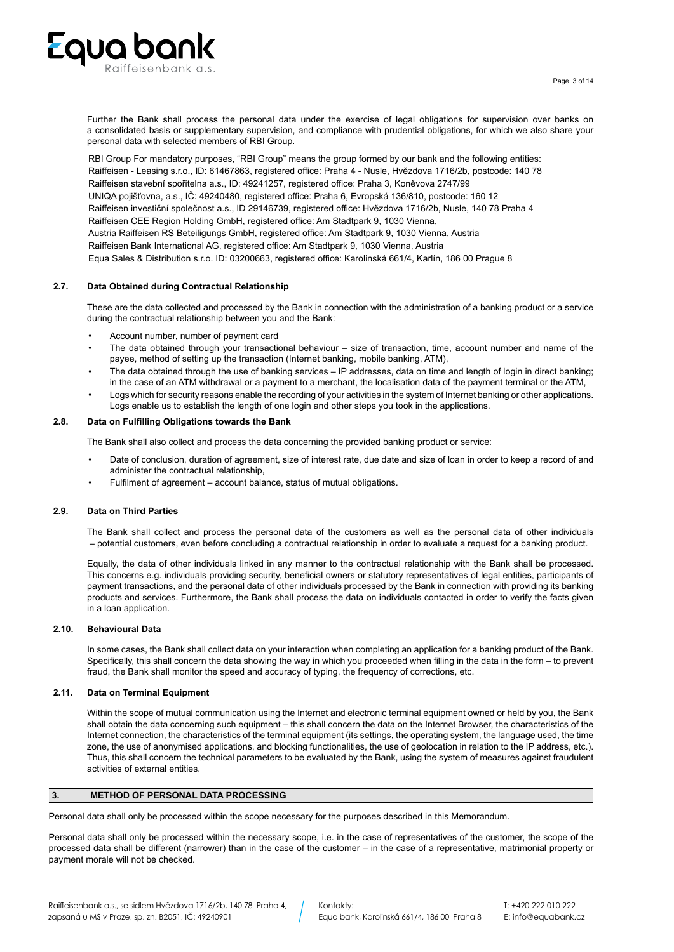

Further the Bank shall process the personal data under the exercise of legal obligations for supervision over banks on a consolidated basis or supplementary supervision, and compliance with prudential obligations, for which we also share your personal data with selected members of RBI Group.

RBI Group For mandatory purposes, "RBI Group" means the group formed by our bank and the following entities: Raiffeisen - Leasing s.r.o., ID: 61467863, registered office: Praha 4 - Nusle, Hvězdova 1716/2b, postcode: 140 78 Raiffeisen stavební spořitelna a.s., ID: 49241257, registered office: Praha 3, Koněvova 2747/99 UNIQA pojišťovna, a.s., IČ: 49240480, registered office: Praha 6, Evropská 136/810, postcode: 160 12 Raiffeisen investiční společnost a.s., ID 29146739, registered office: Hvězdova 1716/2b, Nusle, 140 78 Praha 4 Raiffeisen CEE Region Holding GmbH, registered office: Am Stadtpark 9, 1030 Vienna, Austria Raiffeisen RS Beteiligungs GmbH, registered office: Am Stadtpark 9, 1030 Vienna, Austria Raiffeisen Bank International AG, registered office: Am Stadtpark 9, 1030 Vienna, Austria Equa Sales & Distribution s.r.o. ID: 03200663, registered office: Karolinská 661/4, Karlín, 186 00 Prague 8

# **2.7. Data Obtained during Contractual Relationship**

These are the data collected and processed by the Bank in connection with the administration of a banking product or a service during the contractual relationship between you and the Bank:

- Account number, number of payment card
- The data obtained through your transactional behaviour size of transaction, time, account number and name of the payee, method of setting up the transaction (Internet banking, mobile banking, ATM),
- The data obtained through the use of banking services IP addresses, data on time and length of login in direct banking; in the case of an ATM withdrawal or a payment to a merchant, the localisation data of the payment terminal or the ATM,
- Logs which for security reasons enable the recording of your activities in the system of Internet banking or other applications. Logs enable us to establish the length of one login and other steps you took in the applications.

### **2.8. Data on Fulfilling Obligations towards the Bank**

The Bank shall also collect and process the data concerning the provided banking product or service:

- Date of conclusion, duration of agreement, size of interest rate, due date and size of loan in order to keep a record of and administer the contractual relationship,
- Fulfilment of agreement account balance, status of mutual obligations.

### **2.9. Data on Third Parties**

The Bank shall collect and process the personal data of the customers as well as the personal data of other individuals – potential customers, even before concluding a contractual relationship in order to evaluate a request for a banking product.

Equally, the data of other individuals linked in any manner to the contractual relationship with the Bank shall be processed. This concerns e.g. individuals providing security, beneficial owners or statutory representatives of legal entities, participants of payment transactions, and the personal data of other individuals processed by the Bank in connection with providing its banking products and services. Furthermore, the Bank shall process the data on individuals contacted in order to verify the facts given in a loan application.

#### **2.10. Behavioural Data**

In some cases, the Bank shall collect data on your interaction when completing an application for a banking product of the Bank. Specifically, this shall concern the data showing the way in which you proceeded when filling in the data in the form – to prevent fraud, the Bank shall monitor the speed and accuracy of typing, the frequency of corrections, etc.

### **2.11. Data on Terminal Equipment**

Within the scope of mutual communication using the Internet and electronic terminal equipment owned or held by you, the Bank shall obtain the data concerning such equipment – this shall concern the data on the Internet Browser, the characteristics of the Internet connection, the characteristics of the terminal equipment (its settings, the operating system, the language used, the time zone, the use of anonymised applications, and blocking functionalities, the use of geolocation in relation to the IP address, etc.). Thus, this shall concern the technical parameters to be evaluated by the Bank, using the system of measures against fraudulent activities of external entities.

#### **3. METHOD OF PERSONAL DATA PROCESSING**

Personal data shall only be processed within the scope necessary for the purposes described in this Memorandum.

Personal data shall only be processed within the necessary scope, i.e. in the case of representatives of the customer, the scope of the processed data shall be different (narrower) than in the case of the customer – in the case of a representative, matrimonial property or payment morale will not be checked.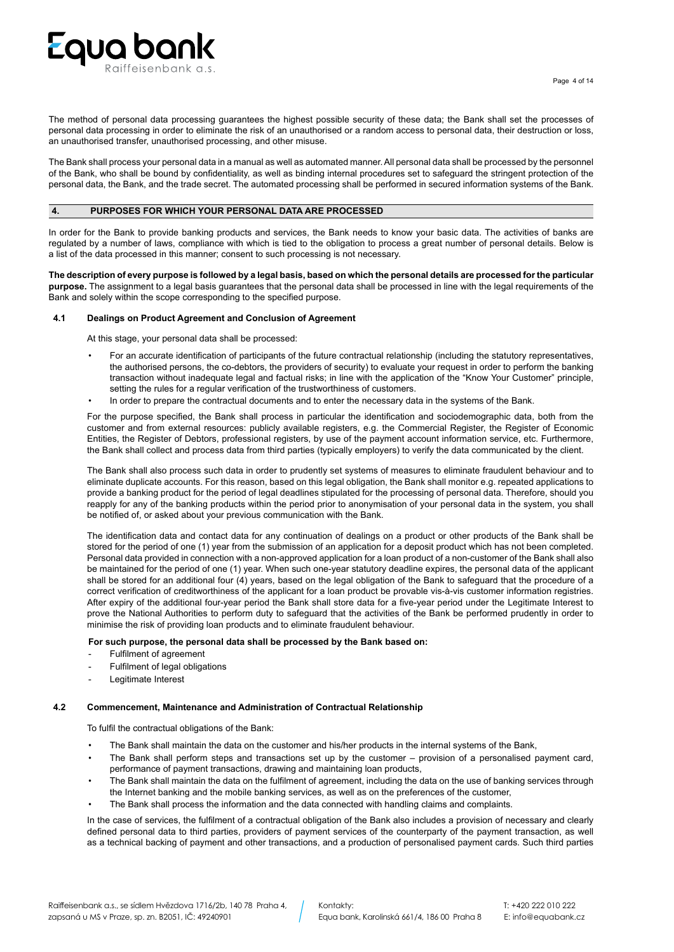

The method of personal data processing guarantees the highest possible security of these data; the Bank shall set the processes of personal data processing in order to eliminate the risk of an unauthorised or a random access to personal data, their destruction or loss, an unauthorised transfer, unauthorised processing, and other misuse.

The Bank shall process your personal data in a manual as well as automated manner. All personal data shall be processed by the personnel of the Bank, who shall be bound by confidentiality, as well as binding internal procedures set to safeguard the stringent protection of the personal data, the Bank, and the trade secret. The automated processing shall be performed in secured information systems of the Bank.

# **4. PURPOSES FOR WHICH YOUR PERSONAL DATA ARE PROCESSED**

In order for the Bank to provide banking products and services, the Bank needs to know your basic data. The activities of banks are regulated by a number of laws, compliance with which is tied to the obligation to process a great number of personal details. Below is a list of the data processed in this manner; consent to such processing is not necessary.

**The description of every purpose is followed by a legal basis, based on which the personal details are processed for the particular purpose.** The assignment to a legal basis guarantees that the personal data shall be processed in line with the legal requirements of the Bank and solely within the scope corresponding to the specified purpose.

# **4.1 Dealings on Product Agreement and Conclusion of Agreement**

At this stage, your personal data shall be processed:

- For an accurate identification of participants of the future contractual relationship (including the statutory representatives, the authorised persons, the co-debtors, the providers of security) to evaluate your request in order to perform the banking transaction without inadequate legal and factual risks; in line with the application of the "Know Your Customer" principle, setting the rules for a regular verification of the trustworthiness of customers.
- In order to prepare the contractual documents and to enter the necessary data in the systems of the Bank.

For the purpose specified, the Bank shall process in particular the identification and sociodemographic data, both from the customer and from external resources: publicly available registers, e.g. the Commercial Register, the Register of Economic Entities, the Register of Debtors, professional registers, by use of the payment account information service, etc. Furthermore, the Bank shall collect and process data from third parties (typically employers) to verify the data communicated by the client.

The Bank shall also process such data in order to prudently set systems of measures to eliminate fraudulent behaviour and to eliminate duplicate accounts. For this reason, based on this legal obligation, the Bank shall monitor e.g. repeated applications to provide a banking product for the period of legal deadlines stipulated for the processing of personal data. Therefore, should you reapply for any of the banking products within the period prior to anonymisation of your personal data in the system, you shall be notified of, or asked about your previous communication with the Bank.

The identification data and contact data for any continuation of dealings on a product or other products of the Bank shall be stored for the period of one (1) year from the submission of an application for a deposit product which has not been completed. Personal data provided in connection with a non-approved application for a loan product of a non-customer of the Bank shall also be maintained for the period of one (1) year. When such one-year statutory deadline expires, the personal data of the applicant shall be stored for an additional four (4) years, based on the legal obligation of the Bank to safeguard that the procedure of a correct verification of creditworthiness of the applicant for a loan product be provable vis-à-vis customer information registries. After expiry of the additional four-year period the Bank shall store data for a five-year period under the Legitimate Interest to prove the National Authorities to perform duty to safeguard that the activities of the Bank be performed prudently in order to minimise the risk of providing loan products and to eliminate fraudulent behaviour.

# **For such purpose, the personal data shall be processed by the Bank based on:**

- Fulfilment of agreement
- Fulfilment of legal obligations
- Legitimate Interest

#### **4.2 Commencement, Maintenance and Administration of Contractual Relationship**

To fulfil the contractual obligations of the Bank:

- The Bank shall maintain the data on the customer and his/her products in the internal systems of the Bank,
- The Bank shall perform steps and transactions set up by the customer provision of a personalised payment card, performance of payment transactions, drawing and maintaining loan products,
- The Bank shall maintain the data on the fulfilment of agreement, including the data on the use of banking services through the Internet banking and the mobile banking services, as well as on the preferences of the customer,
- The Bank shall process the information and the data connected with handling claims and complaints.

In the case of services, the fulfilment of a contractual obligation of the Bank also includes a provision of necessary and clearly defined personal data to third parties, providers of payment services of the counterparty of the payment transaction, as well as a technical backing of payment and other transactions, and a production of personalised payment cards. Such third parties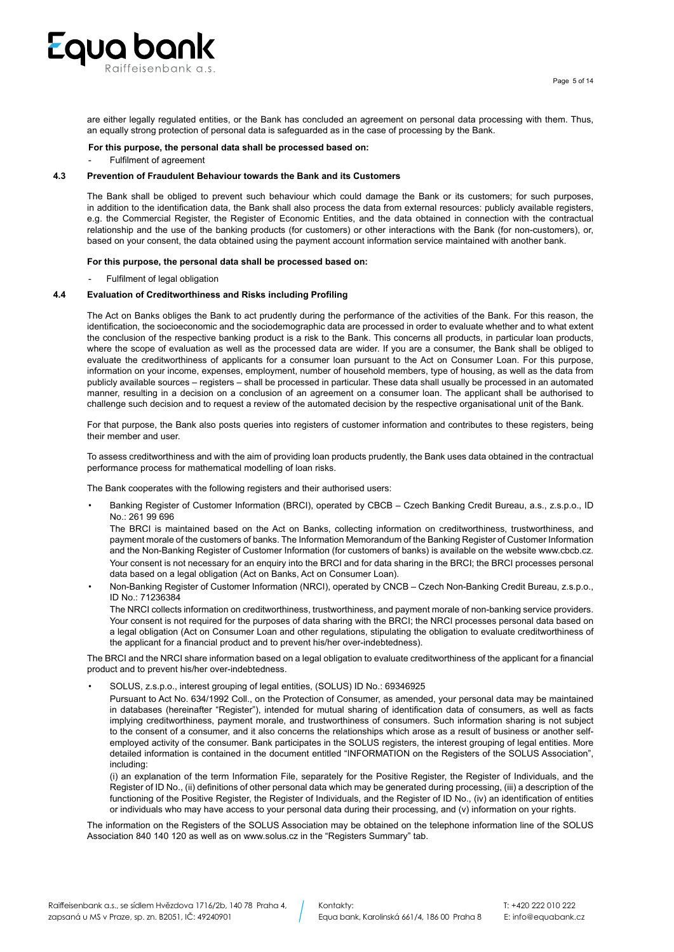

are either legally regulated entities, or the Bank has concluded an agreement on personal data processing with them. Thus, an equally strong protection of personal data is safeguarded as in the case of processing by the Bank.

#### **For this purpose, the personal data shall be processed based on:**

Fulfilment of agreement

# **4.3 Prevention of Fraudulent Behaviour towards the Bank and its Customers**

The Bank shall be obliged to prevent such behaviour which could damage the Bank or its customers; for such purposes, in addition to the identification data, the Bank shall also process the data from external resources: publicly available registers, e.g. the Commercial Register, the Register of Economic Entities, and the data obtained in connection with the contractual relationship and the use of the banking products (for customers) or other interactions with the Bank (for non-customers), or, based on your consent, the data obtained using the payment account information service maintained with another bank.

### **For this purpose, the personal data shall be processed based on:**

Fulfilment of legal obligation

# **4.4 Evaluation of Creditworthiness and Risks including Profiling**

The Act on Banks obliges the Bank to act prudently during the performance of the activities of the Bank. For this reason, the identification, the socioeconomic and the sociodemographic data are processed in order to evaluate whether and to what extent the conclusion of the respective banking product is a risk to the Bank. This concerns all products, in particular loan products, where the scope of evaluation as well as the processed data are wider. If you are a consumer, the Bank shall be obliged to evaluate the creditworthiness of applicants for a consumer loan pursuant to the Act on Consumer Loan. For this purpose, information on your income, expenses, employment, number of household members, type of housing, as well as the data from publicly available sources – registers – shall be processed in particular. These data shall usually be processed in an automated manner, resulting in a decision on a conclusion of an agreement on a consumer loan. The applicant shall be authorised to challenge such decision and to request a review of the automated decision by the respective organisational unit of the Bank.

For that purpose, the Bank also posts queries into registers of customer information and contributes to these registers, being their member and user.

To assess creditworthiness and with the aim of providing loan products prudently, the Bank uses data obtained in the contractual performance process for mathematical modelling of loan risks.

The Bank cooperates with the following registers and their authorised users:

• Banking Register of Customer Information (BRCI), operated by CBCB – Czech Banking Credit Bureau, a.s., z.s.p.o., ID No.: 261 99 696

The BRCI is maintained based on the Act on Banks, collecting information on creditworthiness, trustworthiness, and payment morale of the customers of banks. The Information Memorandum of the Banking Register of Customer Information and the Non-Banking Register of Customer Information (for customers of banks) is available on the website www.cbcb.cz. Your consent is not necessary for an enquiry into the BRCI and for data sharing in the BRCI; the BRCI processes personal data based on a legal obligation (Act on Banks, Act on Consumer Loan).

• Non-Banking Register of Customer Information (NRCI), operated by CNCB – Czech Non-Banking Credit Bureau, z.s.p.o., ID No.: 71236384

The NRCI collects information on creditworthiness, trustworthiness, and payment morale of non-banking service providers. Your consent is not required for the purposes of data sharing with the BRCI; the NRCI processes personal data based on a legal obligation (Act on Consumer Loan and other regulations, stipulating the obligation to evaluate creditworthiness of the applicant for a financial product and to prevent his/her over-indebtedness).

The BRCI and the NRCI share information based on a legal obligation to evaluate creditworthiness of the applicant for a financial product and to prevent his/her over-indebtedness.

• SOLUS, z.s.p.o., interest grouping of legal entities, (SOLUS) ID No.: 69346925

Pursuant to Act No. 634/1992 Coll., on the Protection of Consumer, as amended, your personal data may be maintained in databases (hereinafter "Register"), intended for mutual sharing of identification data of consumers, as well as facts implying creditworthiness, payment morale, and trustworthiness of consumers. Such information sharing is not subject to the consent of a consumer, and it also concerns the relationships which arose as a result of business or another selfemployed activity of the consumer. Bank participates in the SOLUS registers, the interest grouping of legal entities. More detailed information is contained in the document entitled "INFORMATION on the Registers of the SOLUS Association", including:

(i) an explanation of the term Information File, separately for the Positive Register, the Register of Individuals, and the Register of ID No., (ii) definitions of other personal data which may be generated during processing, (iii) a description of the functioning of the Positive Register, the Register of Individuals, and the Register of ID No., (iv) an identification of entities or individuals who may have access to your personal data during their processing, and (v) information on your rights.

The information on the Registers of the SOLUS Association may be obtained on the telephone information line of the SOLUS Association 840 140 120 as well as on www.solus.cz in the "Registers Summary" tab.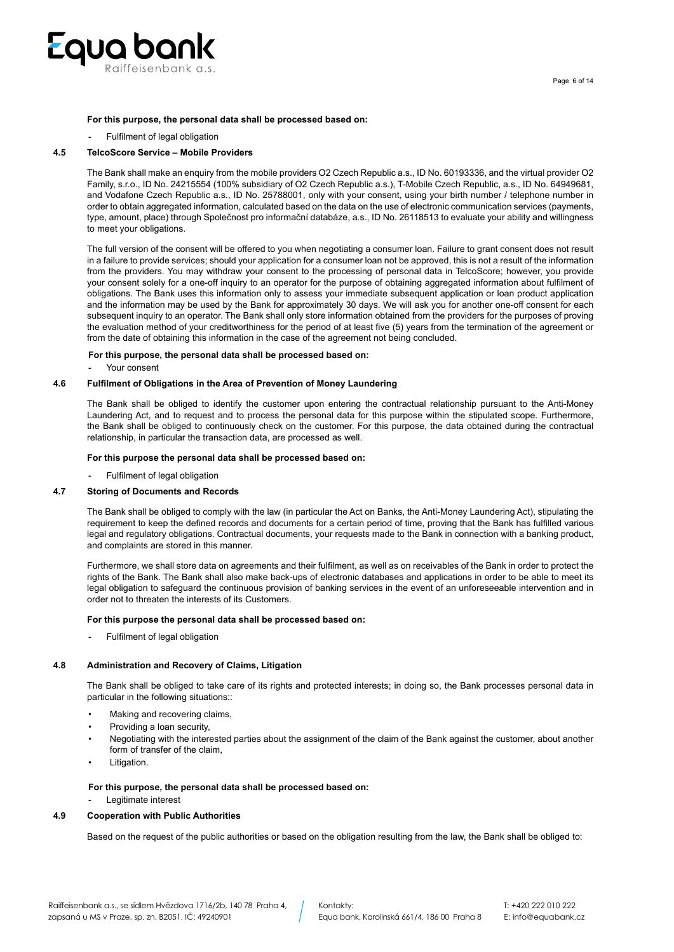

#### **For this purpose, the personal data shall be processed based on:**

Fulfilment of legal obligation

### **4.5 TelcoScore Service – Mobile Providers**

The Bank shall make an enquiry from the mobile providers O2 Czech Republic a.s., ID No. 60193336, and the virtual provider O2 Family, s.r.o., ID No. 24215554 (100% subsidiary of O2 Czech Republic a.s.), T-Mobile Czech Republic, a.s., ID No. 64949681, and Vodafone Czech Republic a.s., ID No. 25788001, only with your consent, using your birth number / telephone number in order to obtain aggregated information, calculated based on the data on the use of electronic communication services (payments, type, amount, place) through Společnost pro informační databáze, a.s., ID No. 26118513 to evaluate your ability and willingness to meet your obligations.

The full version of the consent will be offered to you when negotiating a consumer loan. Failure to grant consent does not result in a failure to provide services; should your application for a consumer loan not be approved, this is not a result of the information from the providers. You may withdraw your consent to the processing of personal data in TelcoScore; however, you provide your consent solely for a one-off inquiry to an operator for the purpose of obtaining aggregated information about fulfilment of obligations. The Bank uses this information only to assess your immediate subsequent application or loan product application and the information may be used by the Bank for approximately 30 days. We will ask you for another one-off consent for each subsequent inquiry to an operator. The Bank shall only store information obtained from the providers for the purposes of proving the evaluation method of your creditworthiness for the period of at least five (5) years from the termination of the agreement or from the date of obtaining this information in the case of the agreement not being concluded.

#### **For this purpose, the personal data shall be processed based on:**

Your consent

### **4.6 Fulfilment of Obligations in the Area of Prevention of Money Laundering**

The Bank shall be obliged to identify the customer upon entering the contractual relationship pursuant to the Anti-Money Laundering Act, and to request and to process the personal data for this purpose within the stipulated scope. Furthermore, the Bank shall be obliged to continuously check on the customer. For this purpose, the data obtained during the contractual relationship, in particular the transaction data, are processed as well.

# **For this purpose the personal data shall be processed based on:**

Fulfilment of legal obligation

#### **4.7 Storing of Documents and Records**

The Bank shall be obliged to comply with the law (in particular the Act on Banks, the Anti-Money Laundering Act), stipulating the requirement to keep the defined records and documents for a certain period of time, proving that the Bank has fulfilled various legal and regulatory obligations. Contractual documents, your requests made to the Bank in connection with a banking product, and complaints are stored in this manner.

Furthermore, we shall store data on agreements and their fulfilment, as well as on receivables of the Bank in order to protect the rights of the Bank. The Bank shall also make back-ups of electronic databases and applications in order to be able to meet its legal obligation to safeguard the continuous provision of banking services in the event of an unforeseeable intervention and in order not to threaten the interests of its Customers.

### **For this purpose the personal data shall be processed based on:**

Fulfilment of legal obligation

#### **4.8 Administration and Recovery of Claims, Litigation**

The Bank shall be obliged to take care of its rights and protected interests; in doing so, the Bank processes personal data in particular in the following situations::

- Making and recovering claims,
- Providing a loan security,
- Negotiating with the interested parties about the assignment of the claim of the Bank against the customer, about another form of transfer of the claim,
- Litigation.

# **For this purpose, the personal data shall be processed based on:**

Legitimate interest

#### **4.9 Cooperation with Public Authorities**

Based on the request of the public authorities or based on the obligation resulting from the law, the Bank shall be obliged to: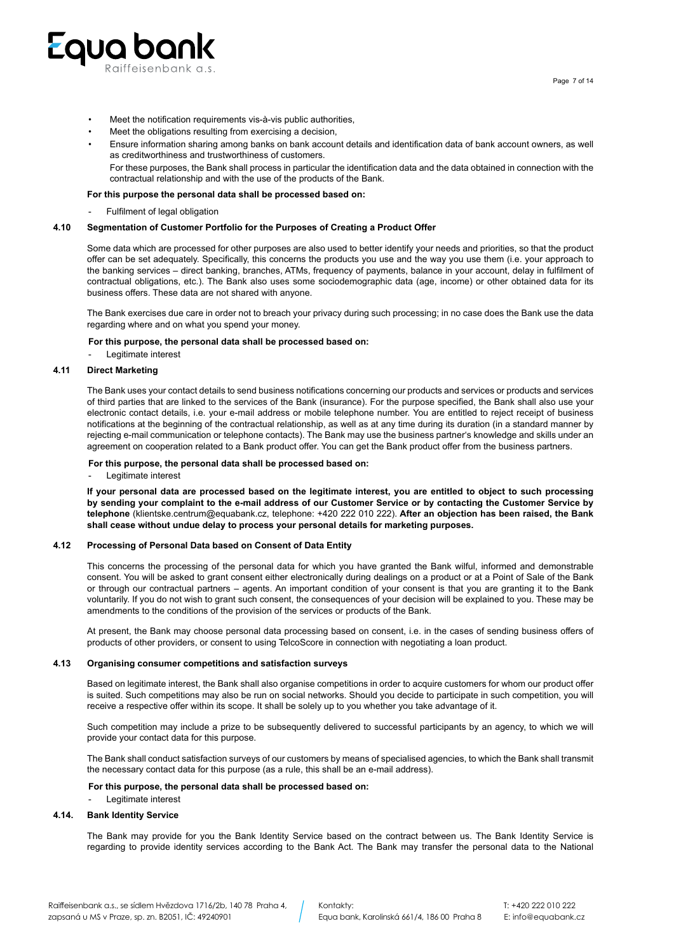

- Meet the notification requirements vis-à-vis public authorities,
- Meet the obligations resulting from exercising a decision,
- Ensure information sharing among banks on bank account details and identification data of bank account owners, as well as creditworthiness and trustworthiness of customers.
	- For these purposes, the Bank shall process in particular the identification data and the data obtained in connection with the contractual relationship and with the use of the products of the Bank.

# **For this purpose the personal data shall be processed based on:**

Fulfilment of legal obligation

## **4.10 Segmentation of Customer Portfolio for the Purposes of Creating a Product Offer**

Some data which are processed for other purposes are also used to better identify your needs and priorities, so that the product offer can be set adequately. Specifically, this concerns the products you use and the way you use them (i.e. your approach to the banking services – direct banking, branches, ATMs, frequency of payments, balance in your account, delay in fulfilment of contractual obligations, etc.). The Bank also uses some sociodemographic data (age, income) or other obtained data for its business offers. These data are not shared with anyone.

The Bank exercises due care in order not to breach your privacy during such processing; in no case does the Bank use the data regarding where and on what you spend your money.

#### **For this purpose, the personal data shall be processed based on:**

Legitimate interest

# **4.11 Direct Marketing**

The Bank uses your contact details to send business notifications concerning our products and services or products and services of third parties that are linked to the services of the Bank (insurance). For the purpose specified, the Bank shall also use your electronic contact details, i.e. your e-mail address or mobile telephone number. You are entitled to reject receipt of business notifications at the beginning of the contractual relationship, as well as at any time during its duration (in a standard manner by rejecting e-mail communication or telephone contacts). The Bank may use the business partner's knowledge and skills under an agreement on cooperation related to a Bank product offer. You can get the Bank product offer from the business partners.

## **For this purpose, the personal data shall be processed based on:**

Legitimate interest

**If your personal data are processed based on the legitimate interest, you are entitled to object to such processing by sending your complaint to the e-mail address of our Customer Service or by contacting the Customer Service by telephone** (klientske.centrum@equabank.cz, telephone: +420 222 010 222). **After an objection has been raised, the Bank shall cease without undue delay to process your personal details for marketing purposes.**

#### **4.12 Processing of Personal Data based on Consent of Data Entity**

This concerns the processing of the personal data for which you have granted the Bank wilful, informed and demonstrable consent. You will be asked to grant consent either electronically during dealings on a product or at a Point of Sale of the Bank or through our contractual partners – agents. An important condition of your consent is that you are granting it to the Bank voluntarily. If you do not wish to grant such consent, the consequences of your decision will be explained to you. These may be amendments to the conditions of the provision of the services or products of the Bank.

At present, the Bank may choose personal data processing based on consent, i.e. in the cases of sending business offers of products of other providers, or consent to using TelcoScore in connection with negotiating a loan product.

## **4.13 Organising consumer competitions and satisfaction surveys**

Based on legitimate interest, the Bank shall also organise competitions in order to acquire customers for whom our product offer is suited. Such competitions may also be run on social networks. Should you decide to participate in such competition, you will receive a respective offer within its scope. It shall be solely up to you whether you take advantage of it.

Such competition may include a prize to be subsequently delivered to successful participants by an agency, to which we will provide your contact data for this purpose.

The Bank shall conduct satisfaction surveys of our customers by means of specialised agencies, to which the Bank shall transmit the necessary contact data for this purpose (as a rule, this shall be an e-mail address).

#### **For this purpose, the personal data shall be processed based on:**

Legitimate interest

#### **4.14. Bank Identity Service**

The Bank may provide for you the Bank Identity Service based on the contract between us. The Bank Identity Service is regarding to provide identity services according to the Bank Act. The Bank may transfer the personal data to the National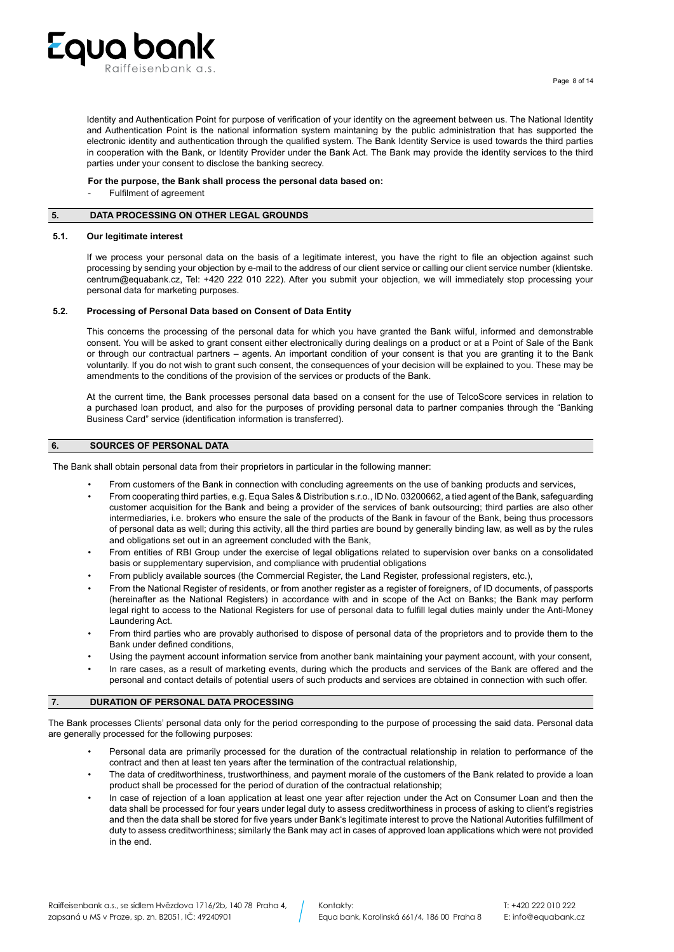

Identity and Authentication Point for purpose of verification of your identity on the agreement between us. The National Identity and Authentication Point is the national information system maintaning by the public administration that has supported the electronic identity and authentication through the qualified system. The Bank Identity Service is used towards the third parties in cooperation with the Bank, or Identity Provider under the Bank Act. The Bank may provide the identity services to the third parties under your consent to disclose the banking secrecy.

# **For the purpose, the Bank shall process the personal data based on:**

Fulfilment of agreement

# **5. DATA PROCESSING ON OTHER LEGAL GROUNDS**

### **5.1. Our legitimate interest**

If we process your personal data on the basis of a legitimate interest, you have the right to file an objection against such processing by sending your objection by e-mail to the address of our client service or calling our client service number (klientske. centrum@equabank.cz, Tel: +420 222 010 222). After you submit your objection, we will immediately stop processing your personal data for marketing purposes.

### **5.2. Processing of Personal Data based on Consent of Data Entity**

This concerns the processing of the personal data for which you have granted the Bank wilful, informed and demonstrable consent. You will be asked to grant consent either electronically during dealings on a product or at a Point of Sale of the Bank or through our contractual partners – agents. An important condition of your consent is that you are granting it to the Bank voluntarily. If you do not wish to grant such consent, the consequences of your decision will be explained to you. These may be amendments to the conditions of the provision of the services or products of the Bank.

At the current time, the Bank processes personal data based on a consent for the use of TelcoScore services in relation to a purchased loan product, and also for the purposes of providing personal data to partner companies through the "Banking Business Card" service (identification information is transferred).

# **6. SOURCES OF PERSONAL DATA**

The Bank shall obtain personal data from their proprietors in particular in the following manner:

- From customers of the Bank in connection with concluding agreements on the use of banking products and services,
- From cooperating third parties, e.g. Equa Sales & Distribution s.r.o., ID No. 03200662, a tied agent of the Bank, safeguarding customer acquisition for the Bank and being a provider of the services of bank outsourcing; third parties are also other intermediaries, i.e. brokers who ensure the sale of the products of the Bank in favour of the Bank, being thus processors of personal data as well; during this activity, all the third parties are bound by generally binding law, as well as by the rules and obligations set out in an agreement concluded with the Bank,
- From entities of RBI Group under the exercise of legal obligations related to supervision over banks on a consolidated basis or supplementary supervision, and compliance with prudential obligations
- From publicly available sources (the Commercial Register, the Land Register, professional registers, etc.),
- From the National Register of residents, or from another register as a register of foreigners, of ID documents, of passports (hereinafter as the National Registers) in accordance with and in scope of the Act on Banks; the Bank may perform legal right to access to the National Registers for use of personal data to fulfill legal duties mainly under the Anti-Money Laundering Act.
- From third parties who are provably authorised to dispose of personal data of the proprietors and to provide them to the Bank under defined conditions,
- Using the payment account information service from another bank maintaining your payment account, with your consent,
- In rare cases, as a result of marketing events, during which the products and services of the Bank are offered and the personal and contact details of potential users of such products and services are obtained in connection with such offer.

## **7. DURATION OF PERSONAL DATA PROCESSING**

The Bank processes Clients' personal data only for the period corresponding to the purpose of processing the said data. Personal data are generally processed for the following purposes:

- Personal data are primarily processed for the duration of the contractual relationship in relation to performance of the contract and then at least ten years after the termination of the contractual relationship,
- The data of creditworthiness, trustworthiness, and payment morale of the customers of the Bank related to provide a loan product shall be processed for the period of duration of the contractual relationship;
- In case of rejection of a loan application at least one year after rejection under the Act on Consumer Loan and then the data shall be processed for four years under legal duty to assess creditworthiness in process of asking to client's registries and then the data shall be stored for five years under Bank's legitimate interest to prove the National Autorities fulfillment of duty to assess creditworthiness; similarly the Bank may act in cases of approved loan applications which were not provided in the end.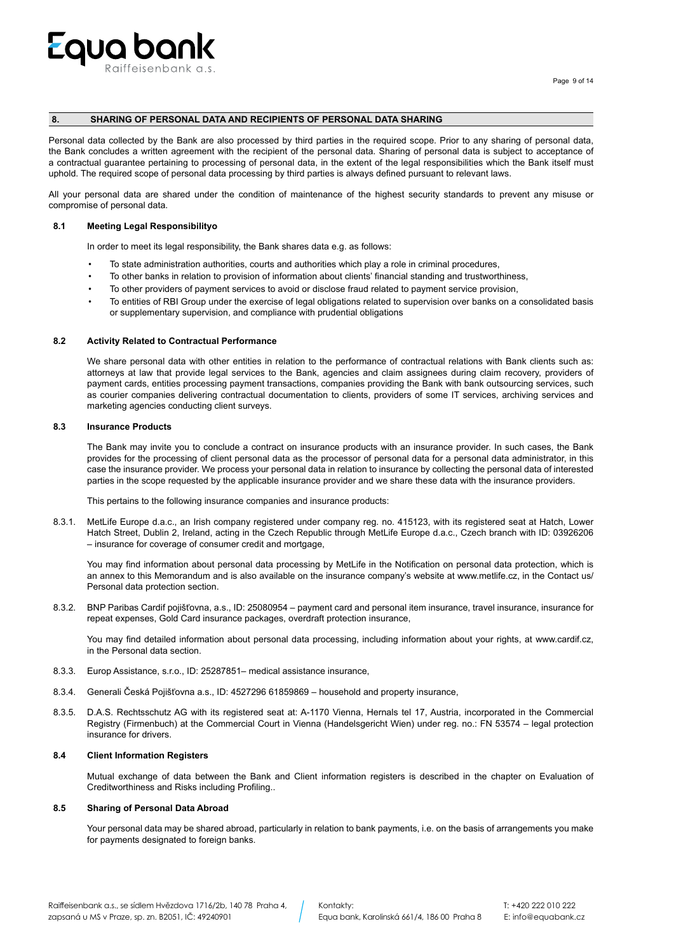

# **8. SHARING OF PERSONAL DATA AND RECIPIENTS OF PERSONAL DATA SHARING**

Personal data collected by the Bank are also processed by third parties in the required scope. Prior to any sharing of personal data, the Bank concludes a written agreement with the recipient of the personal data. Sharing of personal data is subject to acceptance of a contractual guarantee pertaining to processing of personal data, in the extent of the legal responsibilities which the Bank itself must uphold. The required scope of personal data processing by third parties is always defined pursuant to relevant laws.

All your personal data are shared under the condition of maintenance of the highest security standards to prevent any misuse or compromise of personal data.

#### **8.1 Meeting Legal Responsibilityo**

In order to meet its legal responsibility, the Bank shares data e.g. as follows:

- To state administration authorities, courts and authorities which play a role in criminal procedures,
- To other banks in relation to provision of information about clients' financial standing and trustworthiness,
- To other providers of payment services to avoid or disclose fraud related to payment service provision,
- To entities of RBI Group under the exercise of legal obligations related to supervision over banks on a consolidated basis or supplementary supervision, and compliance with prudential obligations

# **8.2 Activity Related to Contractual Performance**

We share personal data with other entities in relation to the performance of contractual relations with Bank clients such as: attorneys at law that provide legal services to the Bank, agencies and claim assignees during claim recovery, providers of payment cards, entities processing payment transactions, companies providing the Bank with bank outsourcing services, such as courier companies delivering contractual documentation to clients, providers of some IT services, archiving services and marketing agencies conducting client surveys.

# **8.3 Insurance Products**

The Bank may invite you to conclude a contract on insurance products with an insurance provider. In such cases, the Bank provides for the processing of client personal data as the processor of personal data for a personal data administrator, in this case the insurance provider. We process your personal data in relation to insurance by collecting the personal data of interested parties in the scope requested by the applicable insurance provider and we share these data with the insurance providers.

This pertains to the following insurance companies and insurance products:

8.3.1. MetLife Europe d.a.c., an Irish company registered under company reg. no. 415123, with its registered seat at Hatch, Lower Hatch Street, Dublin 2, Ireland, acting in the Czech Republic through MetLife Europe d.a.c., Czech branch with ID: 03926206 – insurance for coverage of consumer credit and mortgage,

You may find information about personal data processing by MetLife in the Notification on personal data protection, which is an annex to this Memorandum and is also available on the insurance company's website at www.metlife.cz, in the Contact us/ Personal data protection section.

8.3.2. BNP Paribas Cardif pojišťovna, a.s., ID: 25080954 – payment card and personal item insurance, travel insurance, insurance for repeat expenses, Gold Card insurance packages, overdraft protection insurance,

You may find detailed information about personal data processing, including information about your rights, at www.cardif.cz, in the Personal data section.

- 8.3.3. Europ Assistance, s.r.o., ID: 25287851– medical assistance insurance,
- 8.3.4. Generali Česká Pojišťovna a.s., ID: 4527296 61859869 household and property insurance,
- 8.3.5. D.A.S. Rechtsschutz AG with its registered seat at: A-1170 Vienna, Hernals tel 17, Austria, incorporated in the Commercial Registry (Firmenbuch) at the Commercial Court in Vienna (Handelsgericht Wien) under reg. no.: FN 53574 – legal protection insurance for drivers.

### **8.4 Client Information Registers**

Mutual exchange of data between the Bank and Client information registers is described in the chapter on Evaluation of Creditworthiness and Risks including Profiling..

# **8.5 Sharing of Personal Data Abroad**

Your personal data may be shared abroad, particularly in relation to bank payments, i.e. on the basis of arrangements you make for payments designated to foreign banks.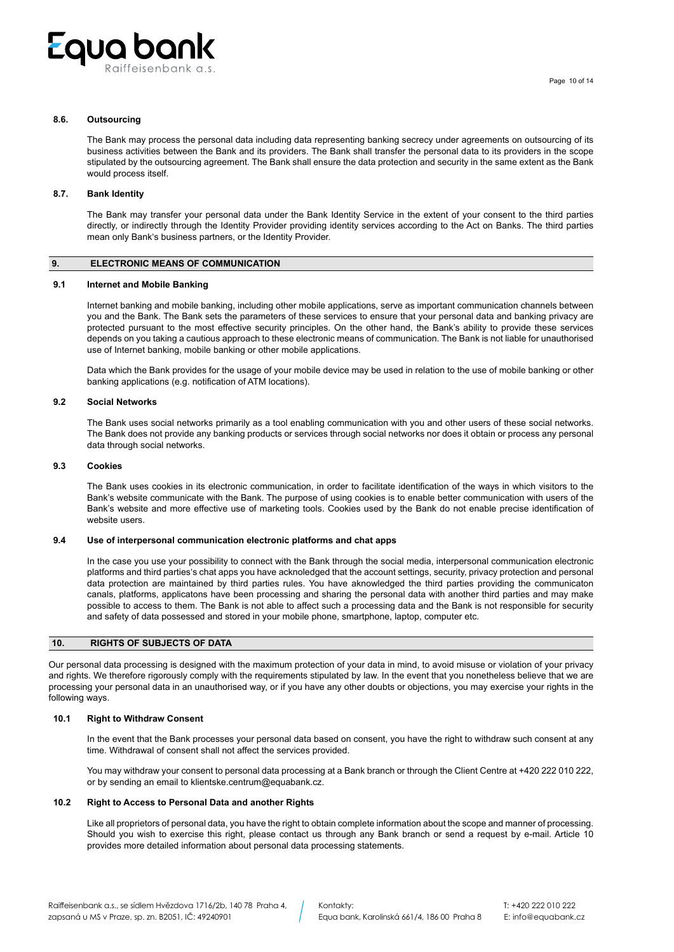

# **8.6. Outsourcing**

The Bank may process the personal data including data representing banking secrecy under agreements on outsourcing of its business activities between the Bank and its providers. The Bank shall transfer the personal data to its providers in the scope stipulated by the outsourcing agreement. The Bank shall ensure the data protection and security in the same extent as the Bank would process itself.

## **8.7. Bank Identity**

The Bank may transfer your personal data under the Bank Identity Service in the extent of your consent to the third parties directly, or indirectly through the Identity Provider providing identity services according to the Act on Banks. The third parties mean only Bank's business partners, or the Identity Provider.

## **9. ELECTRONIC MEANS OF COMMUNICATION**

### **9.1 Internet and Mobile Banking**

Internet banking and mobile banking, including other mobile applications, serve as important communication channels between you and the Bank. The Bank sets the parameters of these services to ensure that your personal data and banking privacy are protected pursuant to the most effective security principles. On the other hand, the Bank's ability to provide these services depends on you taking a cautious approach to these electronic means of communication. The Bank is not liable for unauthorised use of Internet banking, mobile banking or other mobile applications.

Data which the Bank provides for the usage of your mobile device may be used in relation to the use of mobile banking or other banking applications (e.g. notification of ATM locations).

# **9.2 Social Networks**

The Bank uses social networks primarily as a tool enabling communication with you and other users of these social networks. The Bank does not provide any banking products or services through social networks nor does it obtain or process any personal data through social networks.

#### **9.3 Cookies**

The Bank uses cookies in its electronic communication, in order to facilitate identification of the ways in which visitors to the Bank's website communicate with the Bank. The purpose of using cookies is to enable better communication with users of the Bank's website and more effective use of marketing tools. Cookies used by the Bank do not enable precise identification of website users.

# **9.4 Use of interpersonal communication electronic platforms and chat apps**

In the case you use your possibility to connect with the Bank through the social media, interpersonal communication electronic platforms and third parties's chat apps you have acknoledged that the account settings, security, privacy protection and personal data protection are maintained by third parties rules. You have aknowledged the third parties providing the communicaton canals, platforms, applicatons have been processing and sharing the personal data with another third parties and may make possible to access to them. The Bank is not able to affect such a processing data and the Bank is not responsible for security and safety of data possessed and stored in your mobile phone, smartphone, laptop, computer etc.

## **10. RIGHTS OF SUBJECTS OF DATA**

Our personal data processing is designed with the maximum protection of your data in mind, to avoid misuse or violation of your privacy and rights. We therefore rigorously comply with the requirements stipulated by law. In the event that you nonetheless believe that we are processing your personal data in an unauthorised way, or if you have any other doubts or objections, you may exercise your rights in the following ways.

# **10.1 Right to Withdraw Consent**

In the event that the Bank processes your personal data based on consent, you have the right to withdraw such consent at any time. Withdrawal of consent shall not affect the services provided.

You may withdraw your consent to personal data processing at a Bank branch or through the Client Centre at +420 222 010 222, or by sending an email to klientske.centrum@equabank.cz.

### **10.2 Right to Access to Personal Data and another Rights**

Like all proprietors of personal data, you have the right to obtain complete information about the scope and manner of processing. Should you wish to exercise this right, please contact us through any Bank branch or send a request by e-mail. Article 10 provides more detailed information about personal data processing statements.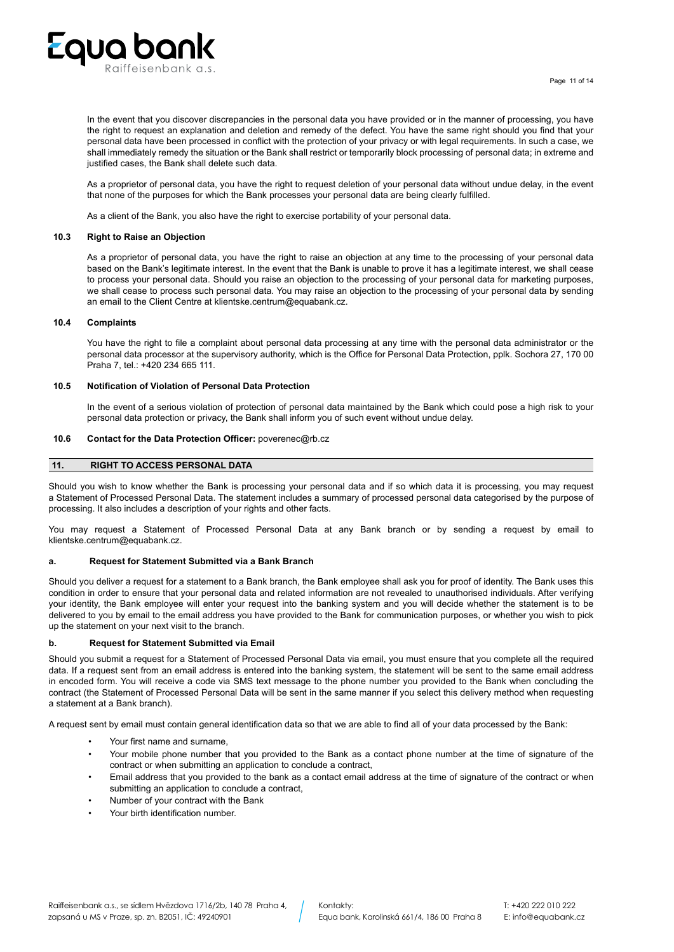

In the event that you discover discrepancies in the personal data you have provided or in the manner of processing, you have the right to request an explanation and deletion and remedy of the defect. You have the same right should you find that your personal data have been processed in conflict with the protection of your privacy or with legal requirements. In such a case, we shall immediately remedy the situation or the Bank shall restrict or temporarily block processing of personal data; in extreme and justified cases, the Bank shall delete such data.

As a proprietor of personal data, you have the right to request deletion of your personal data without undue delay, in the event that none of the purposes for which the Bank processes your personal data are being clearly fulfilled.

As a client of the Bank, you also have the right to exercise portability of your personal data.

### **10.3 Right to Raise an Objection**

As a proprietor of personal data, you have the right to raise an objection at any time to the processing of your personal data based on the Bank's legitimate interest. In the event that the Bank is unable to prove it has a legitimate interest, we shall cease to process your personal data. Should you raise an objection to the processing of your personal data for marketing purposes, we shall cease to process such personal data. You may raise an objection to the processing of your personal data by sending an email to the Client Centre at klientske.centrum@equabank.cz.

### **10.4 Complaints**

You have the right to file a complaint about personal data processing at any time with the personal data administrator or the personal data processor at the supervisory authority, which is the Office for Personal Data Protection, pplk. Sochora 27, 170 00 Praha 7, tel.: +420 234 665 111.

### **10.5 Notification of Violation of Personal Data Protection**

In the event of a serious violation of protection of personal data maintained by the Bank which could pose a high risk to your personal data protection or privacy, the Bank shall inform you of such event without undue delay.

# **10.6 Contact for the Data Protection Officer:** poverenec@rb.cz

### **11. RIGHT TO ACCESS PERSONAL DATA**

Should you wish to know whether the Bank is processing your personal data and if so which data it is processing, you may request a Statement of Processed Personal Data. The statement includes a summary of processed personal data categorised by the purpose of processing. It also includes a description of your rights and other facts.

You may request a Statement of Processed Personal Data at any Bank branch or by sending a request by email to klientske.centrum@equabank.cz.

## **a. Request for Statement Submitted via a Bank Branch**

Should you deliver a request for a statement to a Bank branch, the Bank employee shall ask you for proof of identity. The Bank uses this condition in order to ensure that your personal data and related information are not revealed to unauthorised individuals. After verifying your identity, the Bank employee will enter your request into the banking system and you will decide whether the statement is to be delivered to you by email to the email address you have provided to the Bank for communication purposes, or whether you wish to pick up the statement on your next visit to the branch.

#### **b. Request for Statement Submitted via Email**

Should you submit a request for a Statement of Processed Personal Data via email, you must ensure that you complete all the required data. If a request sent from an email address is entered into the banking system, the statement will be sent to the same email address in encoded form. You will receive a code via SMS text message to the phone number you provided to the Bank when concluding the contract (the Statement of Processed Personal Data will be sent in the same manner if you select this delivery method when requesting a statement at a Bank branch).

A request sent by email must contain general identification data so that we are able to find all of your data processed by the Bank:

- Your first name and surname,
- Your mobile phone number that you provided to the Bank as a contact phone number at the time of signature of the contract or when submitting an application to conclude a contract,
- Email address that you provided to the bank as a contact email address at the time of signature of the contract or when submitting an application to conclude a contract,
- Number of your contract with the Bank
- Your birth identification number.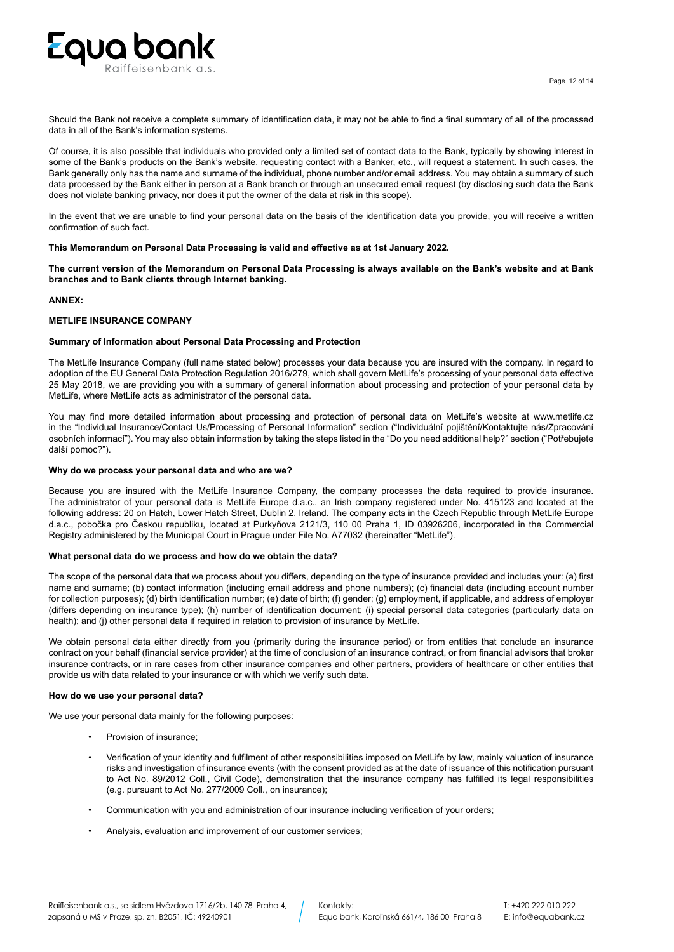

Should the Bank not receive a complete summary of identification data, it may not be able to find a final summary of all of the processed data in all of the Bank's information systems.

Of course, it is also possible that individuals who provided only a limited set of contact data to the Bank, typically by showing interest in some of the Bank's products on the Bank's website, requesting contact with a Banker, etc., will request a statement. In such cases, the Bank generally only has the name and surname of the individual, phone number and/or email address. You may obtain a summary of such data processed by the Bank either in person at a Bank branch or through an unsecured email request (by disclosing such data the Bank does not violate banking privacy, nor does it put the owner of the data at risk in this scope).

In the event that we are unable to find your personal data on the basis of the identification data you provide, you will receive a written confirmation of such fact.

**This Memorandum on Personal Data Processing is valid and effective as at 1st January 2022.** 

**The current version of the Memorandum on Personal Data Processing is always available on the Bank's website and at Bank branches and to Bank clients through Internet banking.**

# **ANNEX:**

# **METLIFE INSURANCE COMPANY**

# **Summary of Information about Personal Data Processing and Protection**

The MetLife Insurance Company (full name stated below) processes your data because you are insured with the company. In regard to adoption of the EU General Data Protection Regulation 2016/279, which shall govern MetLife's processing of your personal data effective 25 May 2018, we are providing you with a summary of general information about processing and protection of your personal data by MetLife, where MetLife acts as administrator of the personal data.

You may find more detailed information about processing and protection of personal data on MetLife's website at www.metlife.cz in the "Individual Insurance/Contact Us/Processing of Personal Information" section ("Individuální pojištění/Kontaktujte nás/Zpracování osobních informací"). You may also obtain information by taking the steps listed in the "Do you need additional help?" section ("Potřebujete další pomoc?").

# **Why do we process your personal data and who are we?**

Because you are insured with the MetLife Insurance Company, the company processes the data required to provide insurance. The administrator of your personal data is MetLife Europe d.a.c., an Irish company registered under No. 415123 and located at the following address: 20 on Hatch, Lower Hatch Street, Dublin 2, Ireland. The company acts in the Czech Republic through MetLife Europe d.a.c., pobočka pro Českou republiku, located at Purkyňova 2121/3, 110 00 Praha 1, ID 03926206, incorporated in the Commercial Registry administered by the Municipal Court in Prague under File No. A77032 (hereinafter "MetLife").

#### **What personal data do we process and how do we obtain the data?**

The scope of the personal data that we process about you differs, depending on the type of insurance provided and includes your: (a) first name and surname; (b) contact information (including email address and phone numbers); (c) financial data (including account number for collection purposes); (d) birth identification number; (e) date of birth; (f) gender; (g) employment, if applicable, and address of employer (differs depending on insurance type); (h) number of identification document; (i) special personal data categories (particularly data on health); and (j) other personal data if required in relation to provision of insurance by MetLife.

We obtain personal data either directly from you (primarily during the insurance period) or from entities that conclude an insurance contract on your behalf (financial service provider) at the time of conclusion of an insurance contract, or from financial advisors that broker insurance contracts, or in rare cases from other insurance companies and other partners, providers of healthcare or other entities that provide us with data related to your insurance or with which we verify such data.

# **How do we use your personal data?**

We use your personal data mainly for the following purposes:

- Provision of insurance;
- Verification of your identity and fulfilment of other responsibilities imposed on MetLife by law, mainly valuation of insurance risks and investigation of insurance events (with the consent provided as at the date of issuance of this notification pursuant to Act No. 89/2012 Coll., Civil Code), demonstration that the insurance company has fulfilled its legal responsibilities (e.g. pursuant to Act No. 277/2009 Coll., on insurance);
- Communication with you and administration of our insurance including verification of your orders;
- Analysis, evaluation and improvement of our customer services;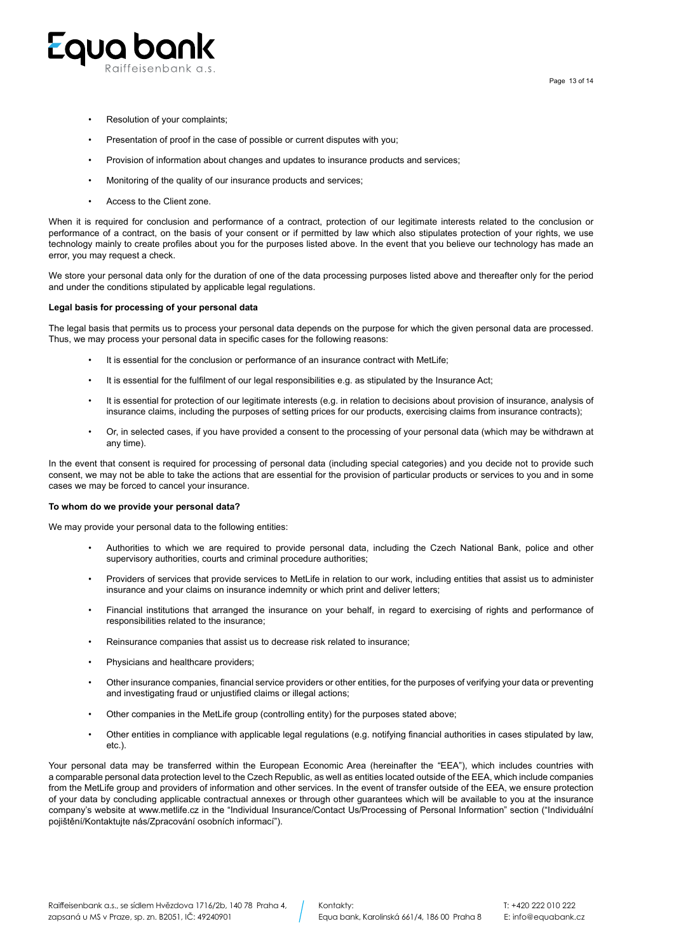

- Resolution of your complaints;
- Presentation of proof in the case of possible or current disputes with you;
- Provision of information about changes and updates to insurance products and services;
- Monitoring of the quality of our insurance products and services;
- Access to the Client zone.

When it is required for conclusion and performance of a contract, protection of our legitimate interests related to the conclusion or performance of a contract, on the basis of your consent or if permitted by law which also stipulates protection of your rights, we use technology mainly to create profiles about you for the purposes listed above. In the event that you believe our technology has made an error, you may request a check.

We store your personal data only for the duration of one of the data processing purposes listed above and thereafter only for the period and under the conditions stipulated by applicable legal regulations.

#### **Legal basis for processing of your personal data**

The legal basis that permits us to process your personal data depends on the purpose for which the given personal data are processed. Thus, we may process your personal data in specific cases for the following reasons:

- It is essential for the conclusion or performance of an insurance contract with MetLife:
- It is essential for the fulfilment of our legal responsibilities e.g. as stipulated by the Insurance Act;
- It is essential for protection of our legitimate interests (e.g. in relation to decisions about provision of insurance, analysis of insurance claims, including the purposes of setting prices for our products, exercising claims from insurance contracts);
- Or, in selected cases, if you have provided a consent to the processing of your personal data (which may be withdrawn at any time).

In the event that consent is required for processing of personal data (including special categories) and you decide not to provide such consent, we may not be able to take the actions that are essential for the provision of particular products or services to you and in some cases we may be forced to cancel your insurance.

#### **To whom do we provide your personal data?**

We may provide your personal data to the following entities:

- Authorities to which we are required to provide personal data, including the Czech National Bank, police and other supervisory authorities, courts and criminal procedure authorities;
- Providers of services that provide services to MetLife in relation to our work, including entities that assist us to administer insurance and your claims on insurance indemnity or which print and deliver letters;
- Financial institutions that arranged the insurance on your behalf, in regard to exercising of rights and performance of responsibilities related to the insurance;
- Reinsurance companies that assist us to decrease risk related to insurance;
- Physicians and healthcare providers;
- Other insurance companies, financial service providers or other entities, for the purposes of verifying your data or preventing and investigating fraud or unjustified claims or illegal actions;
- Other companies in the MetLife group (controlling entity) for the purposes stated above;
- Other entities in compliance with applicable legal regulations (e.g. notifying financial authorities in cases stipulated by law, etc.).

Your personal data may be transferred within the European Economic Area (hereinafter the "EEA"), which includes countries with a comparable personal data protection level to the Czech Republic, as well as entities located outside of the EEA, which include companies from the MetLife group and providers of information and other services. In the event of transfer outside of the EEA, we ensure protection of your data by concluding applicable contractual annexes or through other guarantees which will be available to you at the insurance company's website at www.metlife.cz in the "Individual Insurance/Contact Us/Processing of Personal Information" section ("Individuální pojištění/Kontaktujte nás/Zpracování osobních informací").